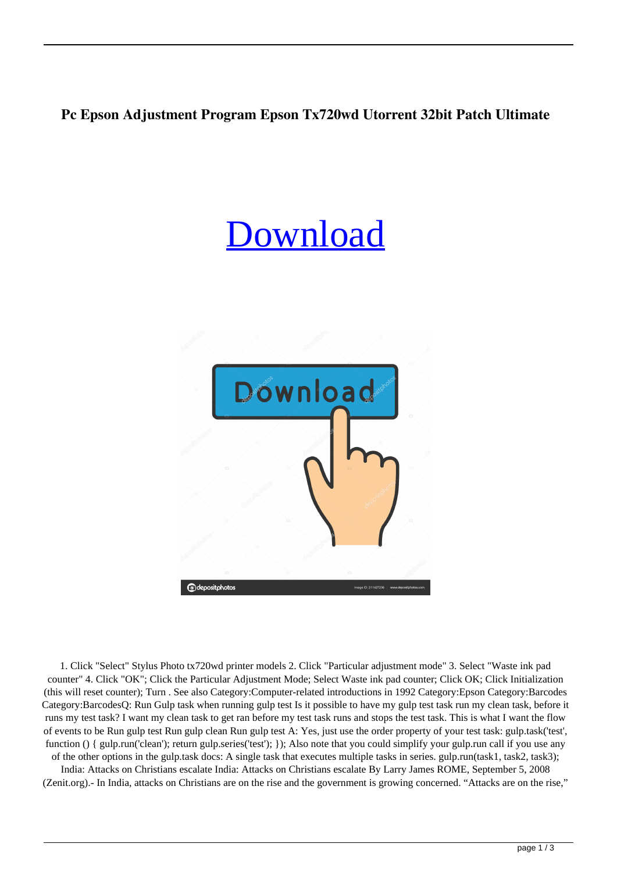## **Pc Epson Adjustment Program Epson Tx720wd Utorrent 32bit Patch Ultimate**

## [Download](http://evacdir.com/barrio/condolences?terrorist=divans.ZG93bmxvYWR8T0o0TVRock9YeDhNVFkxTWpjME1EZzJObng4TWpVM05IeDhLRTBwSUhKbFlXUXRZbXh2WnlCYlJtRnpkQ0JIUlU1ZA.enlist.RXBzb24gQWRqdXN0bWVudCBQcm9ncmFtIEVwc29uIFR4NzIwd2QRXB.ipma.pinellas)



1. Click "Select" Stylus Photo tx720wd printer models 2. Click "Particular adjustment mode" 3. Select "Waste ink pad counter" 4. Click "OK"; Click the Particular Adjustment Mode; Select Waste ink pad counter; Click OK; Click Initialization (this will reset counter); Turn . See also Category:Computer-related introductions in 1992 Category:Epson Category:Barcodes Category:BarcodesQ: Run Gulp task when running gulp test Is it possible to have my gulp test task run my clean task, before it runs my test task? I want my clean task to get ran before my test task runs and stops the test task. This is what I want the flow of events to be Run gulp test Run gulp clean Run gulp test A: Yes, just use the order property of your test task: gulp.task('test', function () { gulp.run('clean'); return gulp.series('test'); }); Also note that you could simplify your gulp.run call if you use any of the other options in the gulp.task docs: A single task that executes multiple tasks in series. gulp.run(task1, task2, task3);

India: Attacks on Christians escalate India: Attacks on Christians escalate By Larry James ROME, September 5, 2008 (Zenit.org).- In India, attacks on Christians are on the rise and the government is growing concerned. "Attacks are on the rise,"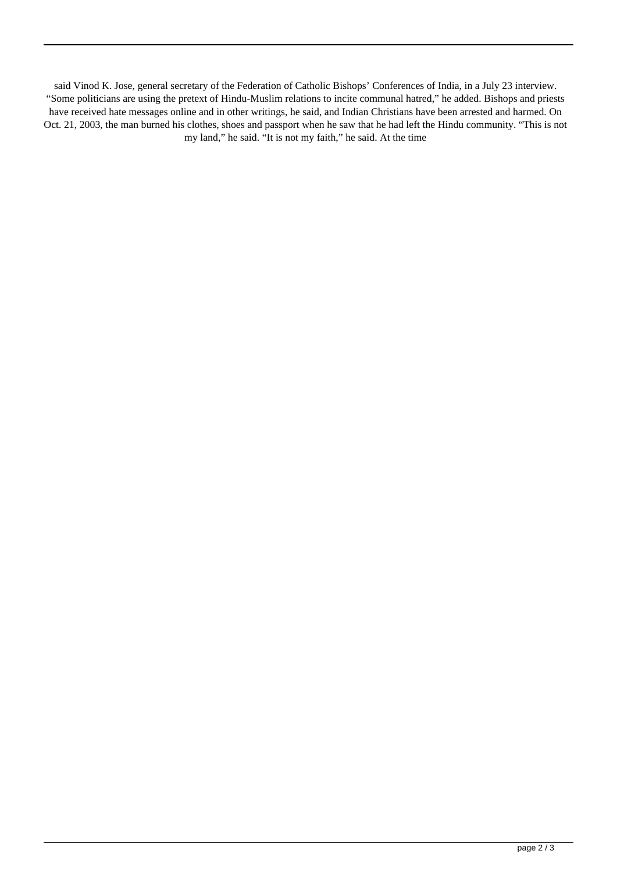said Vinod K. Jose, general secretary of the Federation of Catholic Bishops' Conferences of India, in a July 23 interview. "Some politicians are using the pretext of Hindu-Muslim relations to incite communal hatred," he added. Bishops and priests have received hate messages online and in other writings, he said, and Indian Christians have been arrested and harmed. On Oct. 21, 2003, the man burned his clothes, shoes and passport when he saw that he had left the Hindu community. "This is not my land," he said. "It is not my faith," he said. At the time